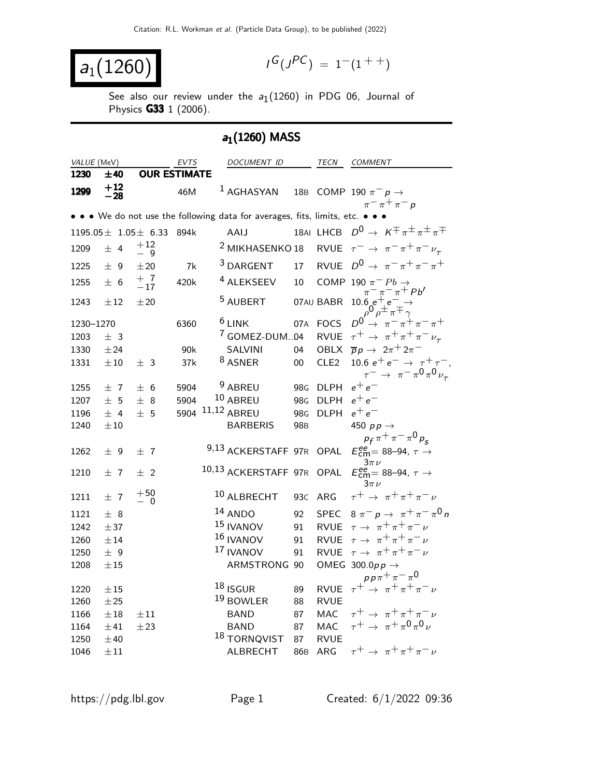$$
a_1(1260) \qquad \qquad \blacksquare
$$

$$
I^G(J^{PC}) = 1^-(1^{++})
$$

See also our review under the  $a_1(1260)$  in PDG 06, Journal of Physics G33 1 (2006).

# $a_1(1260)$  MASS

| VALUE (MeV)<br>DOCUMENT ID<br>EVTS<br>TECN<br>COMMENT                                                              |                                                                                                                   |
|--------------------------------------------------------------------------------------------------------------------|-------------------------------------------------------------------------------------------------------------------|
| 1230<br><b>OUR ESTIMATE</b><br>±40                                                                                 |                                                                                                                   |
| $+12$<br>$-28$<br><sup>1</sup> AGHASYAN<br>1299<br>18 <sub>B</sub><br>COMP 190 $\pi^ p \rightarrow$<br>46M         | $\pi^ \pi^+$ $\pi^ p$                                                                                             |
| • • • We do not use the following data for averages, fits, limits, etc. •                                          |                                                                                                                   |
| 18AI LHCB $D^0 \rightarrow K^{\pm} \pi^{\pm} \pi^{\pm} \pi^{\mp}$<br>AAIJ<br>$1195.05 \pm 1.05 \pm 6.33$<br>894k   |                                                                                                                   |
| $+\,12$<br><sup>2</sup> MIKHASENKO 18<br>RVUE $\tau^- \rightarrow \pi^- \pi^+ \pi^- \nu_\tau$<br>1209<br>±4<br>- 9 |                                                                                                                   |
| RVUE $D^0 \rightarrow \pi^- \pi^+ \pi^- \pi^+$<br><sup>3</sup> DARGENT<br>17<br>1225<br>± 9<br>±20<br>7k           |                                                                                                                   |
| $^{+}_{-17}$<br><sup>4</sup> ALEKSEEV<br>10<br>COMP 190 $\pi^-$ Pb $\rightarrow$<br>1255<br>420k<br>± 6            |                                                                                                                   |
| <sup>5</sup> AUBERT<br>07AU BABR<br>±20<br>1243<br>$\pm 12$                                                        | $\begin{array}{c}\n\pi^-\pi^-\pi^+ Pb' \\ 10.6 e^+e^-\rightarrow \\ \rho^0\rho^{\pm}\pi^{\mp}\gamma\n\end{array}$ |
| $6$ LINK<br>07A<br><b>FOCS</b><br>1230-1270<br>6360                                                                | $D^0 \rightarrow \pi^- \pi^+ \pi^- \pi^+$                                                                         |
| <sup>7</sup> GOMEZ-DUM04<br><b>RVUE</b><br>± 3<br>1203                                                             | $\tau^+ \rightarrow \pi^+ \pi^+ \pi^- \nu_\tau$                                                                   |
| <b>SALVINI</b><br><b>OBLX</b><br>1330<br>±24<br>90k<br>04                                                          | $\overline{p}p \rightarrow 2\pi^+2\pi^-$                                                                          |
| <sup>8</sup> ASNER<br>CLE <sub>2</sub><br>1331<br>$\pm 10$<br>± 3<br>37k<br>$00\,$                                 | 10.6 $e^+e^- \rightarrow \tau^+\tau^-$ ,<br>$\tau^ \rightarrow \pi^- \pi^0 \pi^0 \nu_{\tau}$                      |
| <sup>9</sup> ABREU<br>$e^+e^-$<br>5904<br>98 <sub>G</sub><br><b>DLPH</b><br>1255<br>±7<br>± 6                      |                                                                                                                   |
| 10 ABREU<br>$e^+e^-$<br>5904<br><b>DLPH</b><br>1207<br>± 5<br>± 8<br>98 <sub>G</sub>                               |                                                                                                                   |
| 11,12 ABREU<br>$e^+e^-$<br>± 5<br>5904<br>98 <sub>G</sub><br><b>DLPH</b><br>$±$ 4<br>1196                          |                                                                                                                   |
| ±10<br><b>BARBERIS</b><br>450 $pp \rightarrow$<br>1240<br>98 <sub>B</sub>                                          |                                                                                                                   |
|                                                                                                                    | $p_f \pi^+ \pi^- \pi^0 p_s$                                                                                       |
| 9,13 ACKERSTAFF 97R<br>OPAL<br>1262<br>± 9<br>±7<br>$3\pi$ $\nu$                                                   | $E_{\text{cm}}^{ee}$ = 88-94, $\tau \rightarrow$                                                                  |
| 10,13 ACKERSTAFF 97R<br>OPAL<br>$±$ 2<br>1210<br>±7<br>$3\pi$ $\nu$                                                | $E_{\text{cm}}^{\text{ee}}$ = 88-94, $\tau \rightarrow$                                                           |
| $+50$<br>10 ALBRECHT<br>ARG<br>93 <sub>C</sub><br>1211<br>±7<br>- 0                                                | $\tau^+ \rightarrow \pi^+ \pi^+ \pi^- \nu$                                                                        |
| 14 ANDO<br>92<br><b>SPEC</b><br>1121<br>± 8                                                                        | $8 \pi^- p \rightarrow \pi^+ \pi^- \pi^0 n$                                                                       |
| <sup>15</sup> IVANOV<br><b>RVUE</b><br>91<br>1242<br>±37                                                           | $\tau \rightarrow \pi^+ \pi^+ \pi^- \nu$                                                                          |
| 16 IVANOV<br><b>RVUE</b><br>91<br>1260<br>±14                                                                      | $\tau \rightarrow \pi^+ \pi^+ \pi^- \nu$                                                                          |
| 17 IVANOV<br><b>RVUE</b><br>± 9<br>1250<br>91                                                                      | $\tau \rightarrow \pi^+ \pi^+ \pi^- \nu$                                                                          |
| ARMSTRONG 90<br>OMEG 300.0 $p \rightarrow$<br>1208<br>$\pm\,15$                                                    |                                                                                                                   |
| $18$ ISGUR<br><b>RVUE</b><br>1220<br>89                                                                            | $pp\pi^{+}\pi^{-}\pi^{0}$<br>$\tau^+ \rightarrow \pi^+ \pi^+ \pi^- \nu$                                           |
| $\pm 15$<br>19 BOWLER<br><b>RVUE</b><br>1260<br>±25<br>88                                                          |                                                                                                                   |
| MAC<br><b>BAND</b><br>87<br>1166<br>$\pm 18$<br>$\pm\,11$                                                          | $\tau^+ \rightarrow \pi^+ \pi^+ \pi^- \nu$                                                                        |
| <b>MAC</b><br><b>BAND</b><br>87<br>1164<br>±41<br>±23                                                              | $\tau^+ \rightarrow \pi^+ \pi^0 \pi^0 \nu$                                                                        |
| <sup>18</sup> TORNQVIST<br>87<br><b>RVUE</b><br>1250<br>±40                                                        |                                                                                                                   |
| ARG<br>ALBRECHT<br>86 <sub>B</sub><br>1046<br>$\pm 11$                                                             | $\tau^+ \rightarrow \pi^+ \pi^+ \pi^- \nu$                                                                        |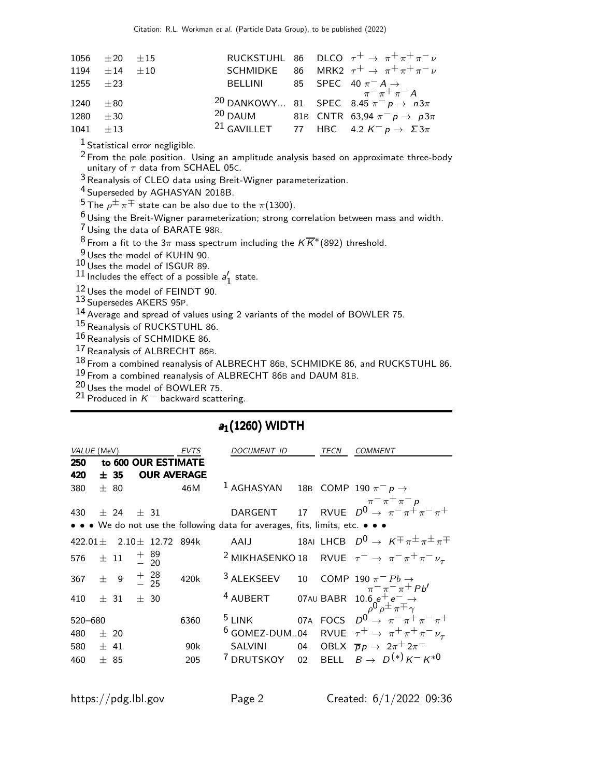|               | 1056 $\pm 20$ $\pm 15$ |  |  | RUCKSTUHL 86 DLCO $\tau^+ \rightarrow \pi^+ \pi^+ \pi^- \nu$      |
|---------------|------------------------|--|--|-------------------------------------------------------------------|
|               | 1194 $\pm 14$ $\pm 10$ |  |  | SCHMIDKE 86 MRK2 $\tau^+ \rightarrow \pi^+ \pi^+ \pi^- \nu$       |
| 1255 $\pm 23$ |                        |  |  | BELLINI 85 SPEC 40 $\pi^- A \rightarrow$<br>$\pi^- \pi^+ \pi^- A$ |
|               |                        |  |  |                                                                   |
| $1240 \pm 80$ |                        |  |  | 20 DANKOWY 81 SPEC 8.45 $\pi^{-\pi+\pi}$ A                        |
| 1280 $\pm 30$ |                        |  |  | <sup>20</sup> DAUM 81B CNTR 63,94 $\pi^- p \to p 3\pi$            |
| $1041 \pm 13$ |                        |  |  | <sup>21</sup> GAVILLET 77 HBC 4.2 $K^- p \rightarrow \Sigma 3\pi$ |

 $<sup>1</sup>$  Statistical error negligible.</sup>

<sup>2</sup> From the pole position. Using an amplitude analysis based on approximate three-body unitary of  $\tau$  data from SCHAEL 05c.

 $3$  Reanalysis of CLEO data using Breit-Wigner parameterization.

4 Superseded by AGHASYAN 2018B.

 $^5$  The  $\rho^{\pm}\,\pi^{\mp}$  state can be also due to the  $\pi(1300)$ .

6 Using the Breit-Wigner parameterization; strong correlation between mass and width.

7 Using the data of BARATE 98R.

<sup>8</sup> From a fit to the 3 $\pi$  mass spectrum including the  $K\overline{K}^*(892)$  threshold.

 $\frac{9}{6}$ Uses the model of KUHN 90.

10 Uses the model of ISGUR 89.

 $11$  Includes the effect of a possible  $a'_1$  $\frac{7}{1}$  state.

12 Uses the model of FEINDT 90.

13 Supersedes AKERS 95P.

14 Average and spread of values using 2 variants of the model of BOWLER 75.

15 Reanalysis of RUCKSTUHL 86.

16 Reanalysis of SCHMIDKE 86.

17 Reanalysis of ALBRECHT 86B.

18 From a combined reanalysis of ALBRECHT 86B, SCHMIDKE 86, and RUCKSTUHL 86.

19 From a combined reanalysis of ALBRECHT 86<sup>B</sup> and DAUM 81B.

20 Uses the model of BOWLER 75.

<sup>21</sup> Produced in  $K^-$  backward scattering.

| VALUE (MeV)                  |          |      |                |                  | EVTS                | <i>DOCUMENT ID</i>                                                            |                 | TECN | <i>COMMENT</i>                                                                                                                     |
|------------------------------|----------|------|----------------|------------------|---------------------|-------------------------------------------------------------------------------|-----------------|------|------------------------------------------------------------------------------------------------------------------------------------|
| 250                          |          |      |                |                  | to 600 OUR ESTIMATE |                                                                               |                 |      |                                                                                                                                    |
| 420                          |          | ±35  |                |                  | <b>OUR AVERAGE</b>  |                                                                               |                 |      |                                                                                                                                    |
| 380                          |          | ± 80 |                |                  | 46M                 | <sup>1</sup> AGHASYAN 18B COMP 190 $\pi^- p \rightarrow$                      |                 |      |                                                                                                                                    |
|                              |          |      |                |                  |                     |                                                                               |                 |      | $\pi$ <sup>-</sup> $\pi$ <sup>+</sup> $\pi$ <sup>-</sup> $p$                                                                       |
| 430                          |          | ± 24 | $\pm$ 31       |                  |                     |                                                                               |                 |      | DARGENT 17 RVUE $D^0 \rightarrow \pi^- \pi^+ \pi^- \pi^+$                                                                          |
|                              |          |      |                |                  |                     | • • • We do not use the following data for averages, fits, limits, etc. • • • |                 |      |                                                                                                                                    |
| $422.01 +$                   |          |      |                | $2.10 \pm 12.72$ | 894k                | AAIJ                                                                          |                 |      | 18AI LHCB $D^0 \rightarrow K^{\mp} \pi^{\pm} \pi^{\pm} \pi^{\mp}$                                                                  |
| 576                          | $\pm$ 11 |      | $+89$<br>$-20$ |                  |                     |                                                                               |                 |      | <sup>2</sup> MIKHASENKO 18 RVUE $\tau^- \rightarrow \pi^- \pi^+ \pi^- \nu_{\tau}$                                                  |
| 367 $\pm$ 9 $\frac{+}{-}$ 28 |          |      |                |                  | 420k                | <sup>3</sup> ALEKSEEV                                                         | 10 <sup>1</sup> |      | COMP 190 $\pi^{-}$ Pb $\rightarrow$                                                                                                |
| 410                          | ± 31     |      | ± 30           |                  |                     | <sup>4</sup> AUBERT                                                           |                 |      | 07AU BABR $10.6 e^+ e^- \rightarrow$<br>$\rho^0 \rho^{\pm} \pi^{\mp} \gamma$<br>07A FOCS $D^0 \rightarrow \pi^- \pi^+ \pi^- \pi^+$ |
| 520 - 680                    |          |      |                |                  | 6360                | $5$ LINK                                                                      |                 |      |                                                                                                                                    |
| 480                          | ± 20     |      |                |                  |                     | $6$ GOMEZ-DUM04                                                               |                 |      | RVUE $\tau^+ \rightarrow \pi^+ \pi^+ \pi^- \nu_\tau$                                                                               |
| 580                          | ± 41     |      |                |                  | 90k                 | <b>SALVINI</b>                                                                |                 |      | 04 OBLX $\overline{p}p \rightarrow 2\pi^+ 2\pi^-$                                                                                  |
| 460                          | ± 85     |      |                |                  | 205                 | <sup>7</sup> DRUTSKOY                                                         |                 |      | 02 BELL $B \to D^{(*)} K^- K^{*0}$                                                                                                 |
|                              |          |      |                |                  |                     |                                                                               |                 |      |                                                                                                                                    |

## $a_1(1260)$  WIDTH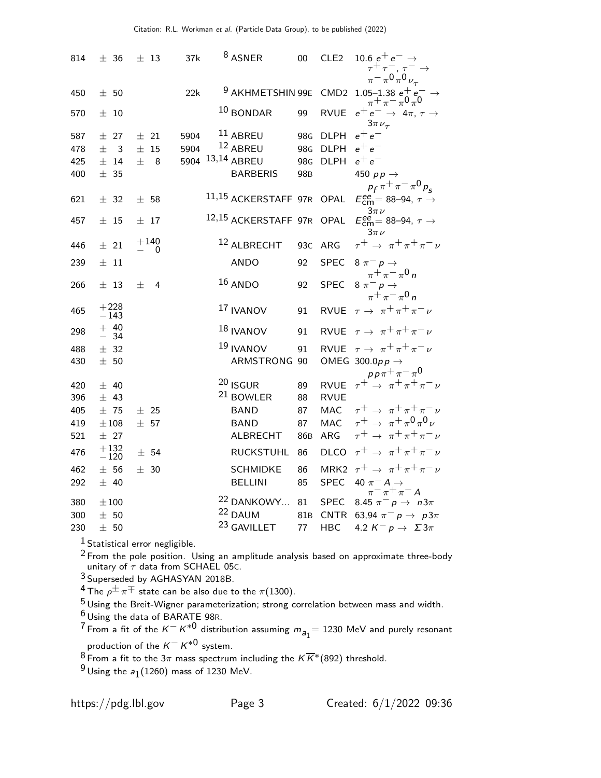| 814 | ± 36                           | $\pm$ 13           | 37k  | <sup>8</sup> ASNER          | $00\,$          | CLE <sub>2</sub> | 10.6 $e^+e^- \rightarrow$<br>$\tau^+\tau^-$ , $\tau^-$                               |
|-----|--------------------------------|--------------------|------|-----------------------------|-----------------|------------------|--------------------------------------------------------------------------------------|
| 450 | ± 50                           |                    | 22k  | <sup>9</sup> AKHMETSHIN 99E |                 |                  | $\pi^{-} \pi^{0} \pi^{0} \nu_{\tau}$<br>CMD2 1.05-1.38 $e^+e^- \rightarrow$          |
| 570 | ±10                            |                    |      | $10$ BONDAR                 | 99              | <b>RVUE</b>      | $\pi^+ \pi^- \pi^0 \pi^0$<br>$e^+e^- \rightarrow 4\pi, \tau \rightarrow$             |
| 587 | ± 27                           | $\pm$ 21           | 5904 | $^{11}$ ABREU               | 98 <sub>G</sub> | <b>DLPH</b>      | $3\pi\nu_{\tau}$<br>$e^+e^-$                                                         |
| 478 | $+$<br>$\overline{\mathbf{3}}$ | ±15                | 5904 | $12$ ABREU                  | 98 <sub>G</sub> | <b>DLPH</b>      | $e^+e^-$                                                                             |
| 425 | $±$ 14                         | $\pm$<br>8         | 5904 | 13,14 ABREU                 | 98 <sub>G</sub> | <b>DLPH</b>      | $e^+e^-$                                                                             |
| 400 | ± 35                           |                    |      | <b>BARBERIS</b>             | 98 <sub>B</sub> |                  | 450 $pp \rightarrow$<br>$p_f \pi^+ \pi^- \pi^0 p_s$                                  |
| 621 | ± 32                           | ± 58               |      | 11,15 ACKERSTAFF 97R OPAL   |                 |                  | $E_{\text{cm}}^{\text{ee}}$ = 88–94, $\tau \rightarrow$                              |
| 457 | $\pm$ 15                       | ± 17               |      | 12,15 ACKERSTAFF 97R        |                 | OPAL             | $3\pi$ $\nu$<br>$E_{\text{cm}}^{\text{ee}}$ = 88–94, $\tau \rightarrow$<br>$3\pi\nu$ |
| 446 | $\pm$ 21                       | $+140$<br>$\Omega$ |      | 12 ALBRECHT                 | 93C             | ARG              | $\tau^+ \rightarrow \pi^+ \pi^+ \pi^- \nu$                                           |
| 239 | $\pm$ 11                       |                    |      | <b>ANDO</b>                 | 92              | <b>SPEC</b>      | 8 $\pi^ p \rightarrow$                                                               |
| 266 | $±$ 13                         | $^{+}$<br>4        |      | $16$ ANDO                   | 92              | <b>SPEC</b>      | $\pi^{+}\pi^{-}\pi^{0}$ n<br>$8 \pi^- p \rightarrow$<br>$\pi^+ \pi^- \pi^0 n$        |
| 465 | $+228$<br>$-143$               |                    |      | <sup>17</sup> IVANOV        | 91              | <b>RVUE</b>      | $\tau \rightarrow \pi^+ \pi^+ \pi^- \nu$                                             |
| 298 | $+ 40$<br>$-34$                |                    |      | $18$ IVANOV                 | 91              |                  | RVUE $\tau \rightarrow \pi^+ \pi^+ \pi^- \nu$                                        |
| 488 | ± 32                           |                    |      | 19 IVANOV                   | 91              | <b>RVUE</b>      | $\tau\rightarrow~\pi^+\pi^+\pi^-\nu$                                                 |
| 430 | ± 50                           |                    |      | ARMSTRONG                   | 90              |                  | OMEG 300.0pp $\rightarrow$                                                           |
| 420 | ± 40                           |                    |      | $20$ ISGUR                  | 89              |                  | $pp\pi^+\pi^-\pi^0$<br>RVUE $\tau^+ \rightarrow \pi^+\pi^+\pi^-\nu$                  |
| 396 | ± 43                           |                    |      | <sup>21</sup> BOWLER        | 88              | <b>RVUE</b>      |                                                                                      |
| 405 | ±75                            | ± 25               |      | <b>BAND</b>                 | 87              | MAC              | $\tau^+ \rightarrow \pi^+ \pi^+ \pi^- \nu$                                           |
| 419 | $\pm\,108$                     | ± 57               |      | <b>BAND</b>                 | 87              | <b>MAC</b>       | $\tau^+ \rightarrow \pi^+ \pi^0 \pi^0 \nu$                                           |
| 521 | ± 27                           |                    |      | <b>ALBRECHT</b>             | 86 <sub>B</sub> | <b>ARG</b>       | $\tau^+ \rightarrow \pi^+ \pi^+ \pi^- \nu$                                           |
|     | $+132$                         |                    |      |                             |                 |                  |                                                                                      |
| 476 | $-120$                         | ± 54               |      | <b>RUCKSTUHL</b>            | 86              | <b>DLCO</b>      | $\tau^+ \rightarrow \pi^+ \pi^+ \pi^- \nu$                                           |
| 462 | ± 56                           | ± 30               |      | <b>SCHMIDKE</b>             | 86              |                  | MRK2 $\tau^+ \rightarrow \pi^+ \pi^+ \pi^- \nu$                                      |
| 292 | ± 40                           |                    |      | <b>BELLINI</b>              | 85              | <b>SPEC</b>      | 40 $\pi^- A \rightarrow$<br>$\pi^{-} \pi^{+} \pi^{-} A$                              |
| 380 | $\pm 100$                      |                    |      | <sup>22</sup> DANKOWY       | 81              | <b>SPEC</b>      | 8.45 $\pi^- p \to n3\pi$                                                             |
| 300 | $\pm$ 50                       |                    |      | 22 DAUM                     | 81 <sub>B</sub> | CNTR             | 63,94 $\pi^ p \to p3\pi$                                                             |
| 230 | $\pm$ 50                       |                    |      | 23 GAVILLET                 | 77              | <b>HBC</b>       | 4.2 $K^- p \rightarrow \Sigma 3\pi$                                                  |

 $<sup>1</sup>$  Statistical error negligible.</sup>

 $^2$  From the pole position. Using an amplitude analysis based on approximate three-body unitary of  $\tau$  data from SCHAEL 05c.

3 Superseded by AGHASYAN 2018B.

 $^4$  The  $\rho^\pm\pi^\mp$  state can be also due to the  $\pi(1300).$ 

 $^5$ Using the Breit-Wigner parameterization; strong correlation between mass and width.

 $^6$  Using the data of BARATE 98R.

From a fit of the  $K^- K^{*0}$  distribution assuming  $m_{a_1} = 1230$  MeV and purely resonant

production of the  $K^- K^{*0}$  system.

From a fit to the 3 $\pi$  mass spectrum including the  $K \overline{K}^{*}(892)$  threshold.

 $^9$ Using the  $a_1(1260)$  mass of 1230 MeV.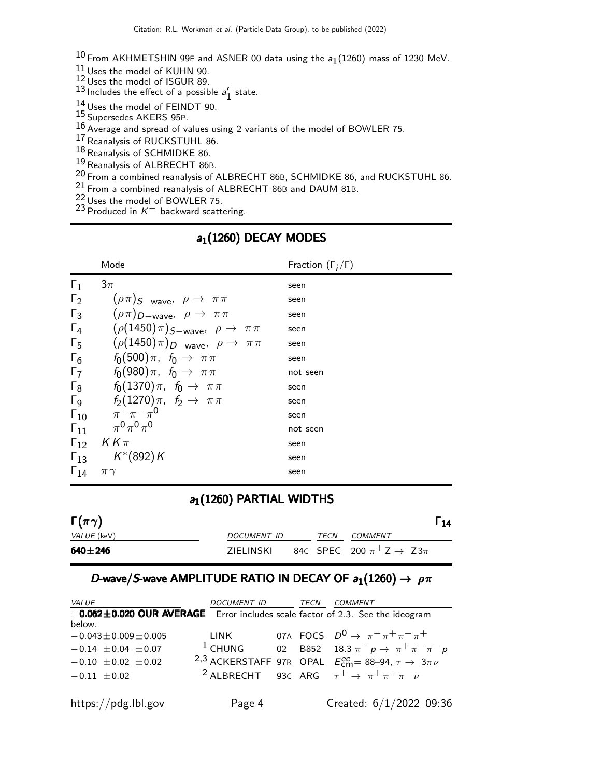$^{10}$  From AKHMETSHIN 99E and ASNER 00 data using the  $a_{1}(1260)$  mass of 1230 MeV.

 $11$  Uses the model of KUHN 90.

12 Uses the model of ISGUR 89.

 $13$  Includes the effect of a possible  $a'_1$  $\frac{7}{1}$  state.

 $14$  Uses the model of FEINDT 90.

15 Supersedes AKERS 95P.

 $^{16}$  Average and spread of values using 2 variants of the model of BOWLER 75.

17 Reanalysis of RUCKSTUHL 86.

18 Reanalysis of SCHMIDKE 86.

19 Reanalysis of ALBRECHT 86B.

20 From a combined reanalysis of ALBRECHT 86B, SCHMIDKE 86, and RUCKSTUHL 86.

 $^{21}$  From a combined reanalysis of ALBRECHT 86B and DAUM 81B.

 $^{22}$  Uses the model of BOWLER 75.

 $^{23}$  Produced in  $K^-$  backward scattering.

|               | Mode                                                         | Fraction $(\Gamma_i/\Gamma)$ |
|---------------|--------------------------------------------------------------|------------------------------|
| $\Gamma_1$    | $3\pi$                                                       | seen                         |
| $\Gamma_2$    | $(\rho \pi)$ <sub>S-wave</sub> , $\rho \rightarrow \pi \pi$  | seen                         |
| $\Gamma_3$    | $(\rho \pi)_{D-wave}, \rho \rightarrow \pi \pi$              | seen                         |
| $\Gamma_4$    | $(\rho(1450)\pi)$ <sub>S-wave</sub> , $\rho \to \pi\pi$      | seen                         |
| $\Gamma_5$    | $(\rho(1450)\pi)_{D-\text{wave}}, \ \rho \rightarrow \pi\pi$ | seen                         |
| $\Gamma_6$    | $f_0(500)\pi$ , $f_0 \to \pi\pi$                             | seen                         |
| $\Gamma_7$    | $f_0(980)\pi$ , $f_0 \rightarrow \pi\pi$                     | not seen                     |
|               | $\Gamma_8$ $f_0(1370)\pi$ , $f_0 \to \pi\pi$                 | seen                         |
|               | $\Gamma_9$ $f_2(1270)\pi$ , $f_2 \to \pi\pi$                 | seen                         |
|               | $\Gamma_{10}$ $\pi^{+}\pi^{-}\pi^{0}$                        | seen                         |
|               | $\Gamma_{11}$ $\pi^0 \pi^0 \pi^0$                            | not seen                     |
|               | $\Gamma_{12}$ KK $\pi$                                       | seen                         |
|               | $\Gamma_{13}$ $K^*(892)K$                                    | seen                         |
| $\Gamma_{14}$ | $\pi\gamma$                                                  | seen                         |

### $a_1(1260)$  DECAY MODES

# $a_1(1260)$  PARTIAL WIDTHS

| $\Gamma(\pi\gamma)$ |             |             |                                                          |  |
|---------------------|-------------|-------------|----------------------------------------------------------|--|
| <i>VALUE</i> (keV)  | DOCUMENT ID | <b>TFCN</b> | COMMENT                                                  |  |
| 640±246             | ZIELINSKI   |             | 84C SPEC 200 $\pi$ <sup>+</sup> Z $\rightarrow$ Z3 $\pi$ |  |

### D-wave/S-wave AMPLITUDE RATIO IN DECAY OF  $a_1(1260) \rightarrow \rho \pi$

| <i>VALUE</i>                                                                        | DOCUMENT ID TECN |  | COMMENT                                                                                |
|-------------------------------------------------------------------------------------|------------------|--|----------------------------------------------------------------------------------------|
| $-0.062 \pm 0.020$ OUR AVERAGE Error includes scale factor of 2.3. See the ideogram |                  |  |                                                                                        |
| below.                                                                              |                  |  |                                                                                        |
| $-0.043 \pm 0.009 \pm 0.005$                                                        | <b>TINK</b>      |  | 07A FOCS $D^0 \rightarrow \pi^- \pi^+ \pi^- \pi^+$                                     |
| $-0.14 \pm 0.04 \pm 0.07$                                                           |                  |  | <sup>1</sup> CHUNG 02 B852 18.3 $\pi^- p \to \pi^+ \pi^- \pi^- p$                      |
| $-0.10 \pm 0.02 \pm 0.02$                                                           |                  |  | <sup>2,3</sup> ACKERSTAFF 97R OPAL $E_{cm}^{ee} = 88-94$ , $\tau \rightarrow 3\pi \nu$ |
| $-0.11 \pm 0.02$                                                                    |                  |  | <sup>2</sup> ALBRECHT 93C ARG $\tau^+ \rightarrow \pi^+ \pi^+ \pi^- \nu$               |
| https://pdg.lbl.gov                                                                 | Page 4           |  | Created: 6/1/2022 09:36                                                                |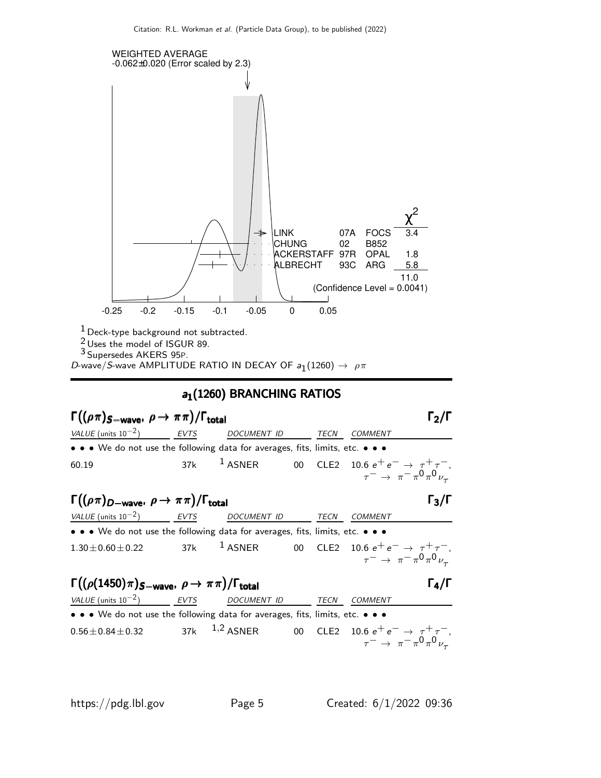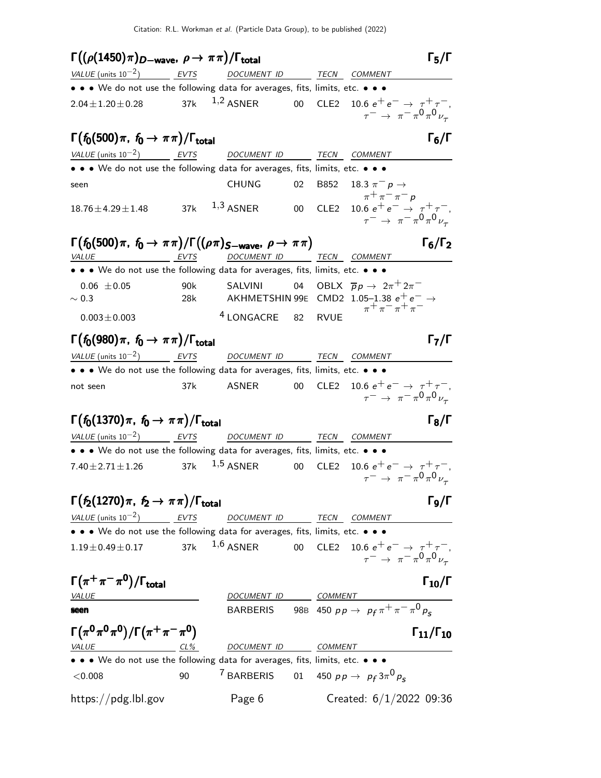$Γ((ρ(1450)π)<sub>D</sub>−<sub>wave</sub>,ρ→ππ)/Γ<sub>total</sub>$  Γ<sub>5</sub>/Γ total and the set of  $\sim$  15/1  $\,$ VALUE (units  $10^{-2}$ ) EVTS DOCUMENT ID TECN COMMENT • • • We do not use the following data for averages, fits, limits, etc. • • •  $2.04 \pm 1.20 \pm 0.28$  37k  $1,2$  ASNER 00 CLE2 10.6  $e^+e^- \rightarrow \tau^+ \tau^-,$  $\tau^-\rightarrow~\pi^-\pi^0\pi^0\nu_\tau$  $\Gamma(f_0(500)\pi, f_0 \to \pi\pi)/\Gamma_{\text{total}}$  Γ<sub>6</sub>/Γ total $\begin{bmatrix} 6/1 \end{bmatrix}$ VALUE (units  $10^{-2}$ ) EVTS DOCUMENT ID TECN COMMENT • • • We do not use the following data for averages, fits, limits, etc. • • • seen CHUNG 02 B852 18.3  $\pi^-$  p →  $\pi$ <sup>+</sup> $\pi$ <sup>-</sup> $\pi$ <sup>-</sup> $p$  $18.76\pm4.29\pm1.48$  37k  $^{1,3}$  ASNER 00 CLE2 10.6  $e^+$   $e^ \rightarrow$   $\tau^+\tau^-$ ,  $\tau^-\rightarrow~\pi^-\pi^0\pi^0\nu_\tau$  $\Gamma(f_0(500)\pi, f_0 \to \pi\pi) / \Gamma((\rho\pi)_{S-wave}, \rho \to \pi\pi)$  Γ<sub>6</sub>/Γ<sub>2</sub> VALUE EVTS DOCUMENT ID TECN COMMENT • • • We do not use the following data for averages, fits, limits, etc. • • • 0.06  $\pm$ 0.05 90k SALVINI 04 OBLX  $\overline{p}p \rightarrow 2\pi^+ 2\pi^ \sim$  0.3 28k AKHMETSHIN 99E CMD2 1.05–1.38  $e^+ e^-$  →  $\pi^+ \pi^- \pi^+ \pi^ 0.003\pm0.003$   $4$  LONGACRE 82 RVUE  $\Gamma(f_0(980)\pi, f_0 \to \pi\pi)/\Gamma_{\text{total}}$ Γ<sub>7</sub>/Γ  $VALUE$  (units 10<sup>-2</sup>) EVTS DOCUMENT ID TECN COMMENT • • • We do not use the following data for averages, fits, limits, etc. • • • not seen 37k ASNER 00 CLE2 10.6 e+ e− → τ+ τ−,  $\tau^-\rightarrow~\pi^-\pi^0\pi^0\nu_\tau$  $\Gamma(f_0(1370)\pi, f_0 \to \pi\pi)/\Gamma_{\text{total}}$ Γ $_8/\Gamma$ VALUE (units  $10^{-2}$ ) EVTS DOCUMENT ID TECN COMMENT • • • We do not use the following data for averages, fits, limits, etc. • • • 7.40 $\pm$ 2.71 $\pm$ 1.26 37k  $^{1,5}$  ASNER 00 CLE2 10.6  $e^+$   $e^ \rightarrow$   $~\tau^+$   $\tau^-$  ,  $\tau^-\rightarrow~\pi^-\pi^0\pi^0\nu_\tau$  $\Gamma(f_2(1270)\pi, f_2 \to \pi\pi)/\Gamma_{\text{total}}$ Γg/Γ VALUE (units 10<sup>-2</sup>) \_\_\_\_\_\_\_<u>EVTS</u> DOCUMENT ID TECN COMMENT • • • We do not use the following data for averages, fits, limits, etc. • • •  $1.19\pm0.49\pm0.17$  37k  $^{1,6}$  ASNER 00 CLE2 10.6  $e^+ \, e^- \rightarrow \, \tau^+ \, \tau^-,$  $\tau^-\,\rightarrow~\pi^-\,\pi^0\,\pi^0\,\nu_\tau$  $\Gamma(\pi^+\pi^-\pi^0)/\Gamma_{\rm total}$  Γ<sub>10</sub>/Γ VALUE COMMENT ON COMMENT OF COMMENT OF COMMENT OF COMMENT OF COMMENT OF COMMENT OF COMMENT OF COMMENT OF COMMENT **seen** BARBERIS 98B 450  $p p \rightarrow p_f \pi^+ \pi^- \pi^0 p_s$  $\Gamma(\pi^0 \pi^0 \pi^0) / \Gamma(\pi^+ \pi^- \pi^0)$   $\Gamma_{11}/\Gamma_{10}$  $Γ_{11}/Γ_{10}$ CL% DOCUMENT ID COMMENT • • • We do not use the following data for averages, fits, limits, etc. • • • <sup>&</sup>lt;0.008 90 <sup>7</sup> BARBERIS 01 450 p p <sup>→</sup> pf 3π 0 ps https://pdg.lbl.gov Page 6 Created: 6/1/2022 09:36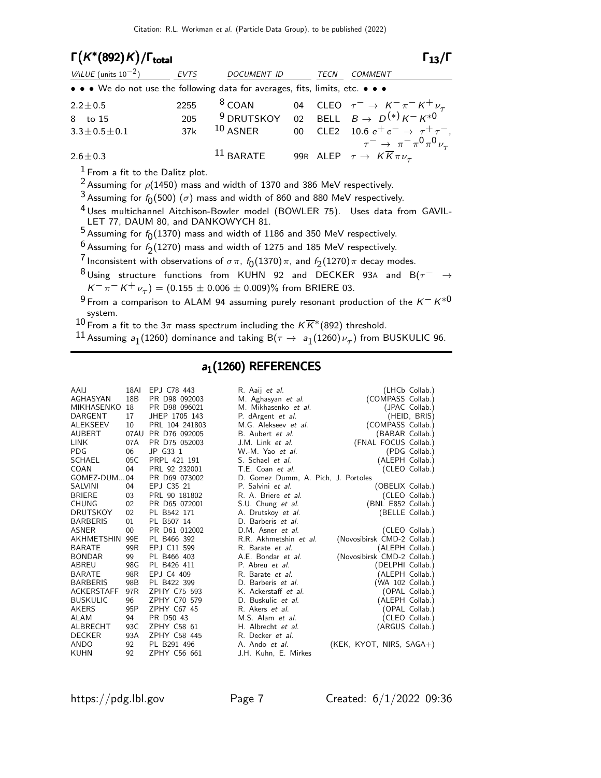| $\Gamma(K^*(892)K)/\Gamma_{\text{total}}$                                     |             |                    |      | $\Gamma_{13}/\Gamma$                                                                                  |
|-------------------------------------------------------------------------------|-------------|--------------------|------|-------------------------------------------------------------------------------------------------------|
| VALUE (units $10^{-2}$ )                                                      | <b>EVTS</b> | <b>DOCUMENT ID</b> | TECN | <b>COMMENT</b>                                                                                        |
| • • • We do not use the following data for averages, fits, limits, etc. • • • |             |                    |      |                                                                                                       |
| $2.2 \pm 0.5$                                                                 | 2255        | $8$ COAN           |      | 04 CLEO $\tau^- \rightarrow K^- \pi^- K^+ \nu_\tau$                                                   |
| 8 to 15                                                                       | 205         |                    |      | <sup>9</sup> DRUTSKOY 02 BELL $B \rightarrow D^{(*)} K^- K^{*0}$                                      |
| $3.3 \pm 0.5 \pm 0.1$                                                         | 37k         | $10$ ASNER         |      | 00 CLE2 10.6 $e^+e^- \rightarrow \tau^+\tau^-,$                                                       |
| $2.6 \pm 0.3$                                                                 |             | $11$ BARATE        |      | $\tau^ \rightarrow \pi^- \pi^0 \pi^0 \nu_{\tau}$<br>99R ALEP $\tau \to K \overline{K} \pi \nu_{\tau}$ |
|                                                                               |             |                    |      |                                                                                                       |

 $<sup>1</sup>$  From a fit to the Dalitz plot.</sup>

<sup>2</sup> Assuming for  $\rho$ (1450) mass and width of 1370 and 386 MeV respectively.

 $^3$  Assuming for  $f_0(500)$   $(\sigma)$  mass and width of 860 and 880 MeV respectively.

4 Uses multichannel Aitchison-Bowler model (BOWLER 75). Uses data from GAVIL-LET 77, DAUM 80, and DANKOWYCH 81.

 $^5$  Assuming for  $f_0(1370)$  mass and width of 1186 and 350 MeV respectively.

- $\frac{6}{7}$  Assuming for  $f_2(1270)$  mass and width of 1275 and 185 MeV respectively.
- $\frac{7}{1}$ Inconsistent with observations of  $\sigma\pi$ ,  $f_0(1370)\pi$ , and  $f_2(1270)\pi$  decay modes.
- 8 Using structure functions from KUHN 92 and DECKER 93A and B( $\tau^-$  →  $K^-\,\pi^- \,K^+\,\nu_\tau) = (0.155 \pm 0.006 \pm 0.009)\%$  from BRIERE 03.
- 9 From a comparison to ALAM 94 assuming purely resonant production of the  $K^- K^{*0}$ system.

10 From a fit to the 3 $\pi$  mass spectrum including the  $K\overline{K}^*(892)$  threshold.

 $^{11}$  Assuming  $\mathsf{a}_1$ (1260) dominance and taking B $(\tau\to\,\mathsf{a}_1$ (1260) $\nu_\tau)$  from BUSKULIC 96.

#### $a_1(1260)$  REFERENCES

| AAIJ            | 18AI            | EPJ C78 443    | R. Aaij et al.                      |                             | (LHCb Collab.) |
|-----------------|-----------------|----------------|-------------------------------------|-----------------------------|----------------|
| AGHASYAN        | 18 <sub>B</sub> | PR D98 092003  | M. Aghasyan et al.                  | (COMPASS Collab.)           |                |
| MIKHASENKO      | 18              | PR D98 096021  | M. Mikhasenko et al.                |                             | (JPAC Collab.) |
| DARGENT         | 17              | JHEP 1705 143  | P. dArgent <i>et al.</i>            |                             | (HEID, BRIS)   |
| ALEKSEEV        | 10              | PRL 104 241803 | M.G. Alekseev et al.                | (COMPASS Collab.)           |                |
| AUBERT          | 07AU            | PR D76 092005  | B. Aubert et al.                    | (BABAR Collab.)             |                |
| LINK            | 07A             | PR D75 052003  | J.M. Link et al.                    | (FNAL FOCUS Collab.)        |                |
| PDG             | 06              | JP G33 1       | W.-M. Yao et al.                    |                             | (PDG Collab.)  |
| SCHAEL          | 05C             | PRPL 421 191   | S. Schael et al.                    | (ALEPH Collab.)             |                |
| COAN            | 04              | PRL 92 232001  | T.E. Coan et al.                    |                             | (CLEO Collab.) |
| GOMEZ-DUM04     |                 | PR D69 073002  | D. Gomez Dumm, A. Pich, J. Portoles |                             |                |
| SALVINI         | 04              | EPJ C35 21     | P. Salvini et al.                   | (OBELIX Collab.)            |                |
| <b>BRIERE</b>   | 03              | PRL 90 181802  | R. A. Briere et al.                 |                             | (CLEO Collab.) |
| CHUNG           | 02              | PR D65 072001  | S.U. Chung et al.                   | (BNL E852 Collab.)          |                |
| DRUTSKOY        | 02              | PL B542 171    | A. Drutskoy et al.                  | (BELLE Collab.)             |                |
| <b>BARBERIS</b> | 01              | PL B507 14     | D. Barberis et al.                  |                             |                |
| ASNER           | 00              | PR D61 012002  | D.M. Asner et al.                   |                             | (CLEO Collab.) |
| AKHMETSHIN      | 99E             | PL B466 392    | R.R. Akhmetshin et al.              | (Novosibirsk CMD-2 Collab.) |                |
| BARATE          | 99 <sub>R</sub> | EPJ C11 599    | R. Barate <i>et al.</i>             | (ALEPH Collab.)             |                |
| BONDAR          | 99              | PL B466 403    | A.E. Bondar et al.                  | (Novosibirsk CMD-2 Collab.) |                |
| ABREU           | 98G             | PL B426 411    | P. Abreu et al.                     | (DELPHI Collab.)            |                |
| <b>BARATE</b>   | 98R             | EPJ C4 409     | R. Barate <i>et al.</i>             | (ALEPH Collab.)             |                |
| <b>BARBERIS</b> | 98B             | PL B422 399    | D. Barberis et al.                  | (WA 102 Collab.)            |                |
| ACKERSTAFF      | 97R             | ZPHY C75 593   | K. Ackerstaff et al.                |                             | (OPAL Collab.) |
| BUSKULIC        | 96              | ZPHY C70 579   | D. Buskulic et al.                  | (ALEPH Collab.)             |                |
| AKERS           | 95P             | ZPHY C67 45    | R. Akers et al.                     |                             | (OPAL Collab.) |
| ALAM            | 94              | PR D50 43      | M.S. Alam et al.                    |                             | (CLEO Collab.) |
| ALBRECHT        | 93C             | ZPHY C58 61    | H. Albrecht et al.                  | (ARGUS Collab.)             |                |
| <b>DECKER</b>   | 93A             | ZPHY C58 445   | R. Decker et al.                    |                             |                |
| ANDO            | 92              | PL B291 496    | A. Ando et al.                      | $(KEK, KYOT, NIRS, SAGA+)$  |                |
| KUHN            | 92              | ZPHY C56 661   | J.H. Kuhn, E. Mirkes                |                             |                |